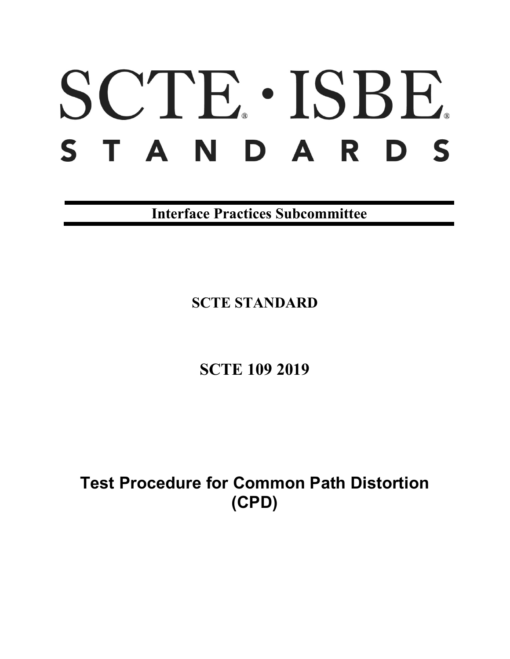# SCTE · ISBE. STANDARDS

**Interface Practices Subcommittee**

**SCTE STANDARD**

**SCTE 109 2019**

**Test Procedure for Common Path Distortion (CPD)**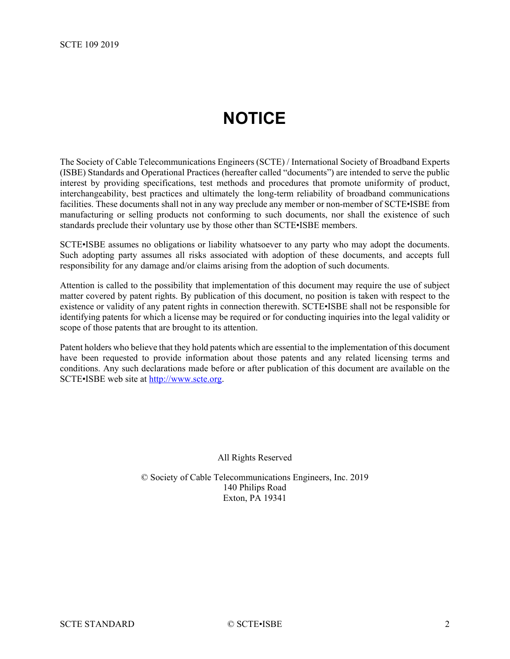# **NOTICE**

<span id="page-1-0"></span>The Society of Cable Telecommunications Engineers (SCTE) / International Society of Broadband Experts (ISBE) Standards and Operational Practices (hereafter called "documents") are intended to serve the public interest by providing specifications, test methods and procedures that promote uniformity of product, interchangeability, best practices and ultimately the long-term reliability of broadband communications facilities. These documents shall not in any way preclude any member or non-member of SCTE•ISBE from manufacturing or selling products not conforming to such documents, nor shall the existence of such standards preclude their voluntary use by those other than SCTE•ISBE members.

SCTE•ISBE assumes no obligations or liability whatsoever to any party who may adopt the documents. Such adopting party assumes all risks associated with adoption of these documents, and accepts full responsibility for any damage and/or claims arising from the adoption of such documents.

Attention is called to the possibility that implementation of this document may require the use of subject matter covered by patent rights. By publication of this document, no position is taken with respect to the existence or validity of any patent rights in connection therewith. SCTE•ISBE shall not be responsible for identifying patents for which a license may be required or for conducting inquiries into the legal validity or scope of those patents that are brought to its attention.

Patent holders who believe that they hold patents which are essential to the implementation of this document have been requested to provide information about those patents and any related licensing terms and conditions. Any such declarations made before or after publication of this document are available on the SCTE•ISBE web site at [http://www.scte.org.](http://www.scte.org/)

All Rights Reserved

© Society of Cable Telecommunications Engineers, Inc. 2019 140 Philips Road Exton, PA 19341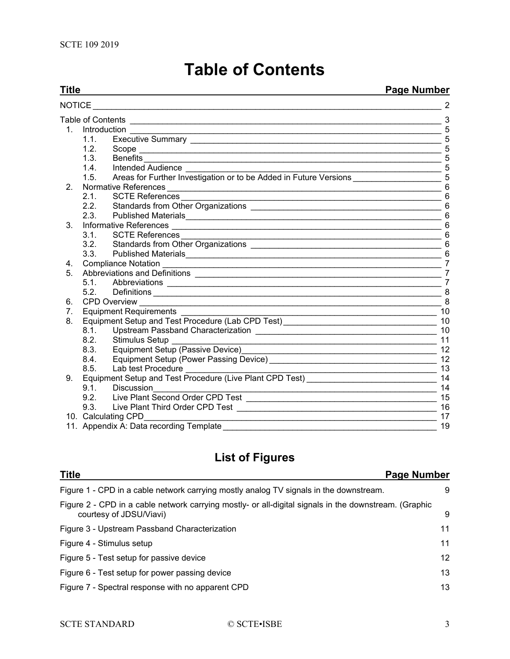# **Table of Contents**

<span id="page-2-0"></span>

| <b>Title</b>   |                     | <b>Page Number</b>                                                                                                                              |                                                                                                 |
|----------------|---------------------|-------------------------------------------------------------------------------------------------------------------------------------------------|-------------------------------------------------------------------------------------------------|
| <b>NOTICE</b>  |                     | 2                                                                                                                                               |                                                                                                 |
|                | Table of Contents   |                                                                                                                                                 | 3                                                                                               |
| 1 <sup>1</sup> | Introduction        |                                                                                                                                                 | 5                                                                                               |
|                | 1.1.                |                                                                                                                                                 | 5                                                                                               |
|                | 1.2.                |                                                                                                                                                 | 5                                                                                               |
|                | 1.3.                | Benefits<br><u> 1989 - Johann Stoff, deutscher Stoff, der Stoff, der Stoff, der Stoff, der Stoff, der Stoff, der Stoff, der S</u>               | 5                                                                                               |
|                |                     | 1.4. Intended Audience                                                                                                                          | 5                                                                                               |
|                | 1.5.                | Areas for Further Investigation or to be Added in Future Versions 1997 1998                                                                     |                                                                                                 |
| 2 <sub>1</sub> |                     |                                                                                                                                                 | 6                                                                                               |
|                | 2.1                 | <b>SCTE References</b>                                                                                                                          | 6                                                                                               |
|                | 2.2.                |                                                                                                                                                 | 6                                                                                               |
|                | 2.3.                |                                                                                                                                                 | 6                                                                                               |
| 3.             |                     |                                                                                                                                                 |                                                                                                 |
|                | $3.1 -$             |                                                                                                                                                 | 6                                                                                               |
|                | 3.2.                |                                                                                                                                                 | 6                                                                                               |
|                | 3.3.                | Published Materials                                                                                                                             | 6                                                                                               |
| 4.             |                     | <b>Compliance Notation</b>                                                                                                                      | 7                                                                                               |
| 5.             |                     |                                                                                                                                                 | $\overline{7}$                                                                                  |
|                | 5.1.                |                                                                                                                                                 | $\overline{7}$                                                                                  |
|                | 5.2                 |                                                                                                                                                 | 8                                                                                               |
| 6.             | <b>CPD Overview</b> |                                                                                                                                                 | 8                                                                                               |
| 7.             |                     | <b>Equipment Requirements</b>                                                                                                                   | 10                                                                                              |
| 8.             |                     | Equipment Setup and Test Procedure (Lab CPD Test)_______________________________                                                                | 10                                                                                              |
|                | 8.1.                |                                                                                                                                                 | 10                                                                                              |
|                | 8.2.                | <b>Stimulus Setup</b><br><u> 1990 - Paris Paris II, martin a film an t-Afrika an t-Afrika an t-Afrika an t-Afrika an t-Afrika an t-Afrika a</u> | 11                                                                                              |
|                | 8.3.                |                                                                                                                                                 | 12                                                                                              |
|                | 8.4.                |                                                                                                                                                 | 12                                                                                              |
|                | 8.5.                | Lab test Procedure                                                                                                                              | 13<br>the control of the control of the control of the control of the control of the control of |
| 9.             |                     |                                                                                                                                                 |                                                                                                 |
|                | 9.1                 | <b>Discussion</b>                                                                                                                               | 14                                                                                              |
|                | 9.2.                |                                                                                                                                                 | 15                                                                                              |
|                | 9.3.                |                                                                                                                                                 | 16                                                                                              |
|                | 10. Calculating CPD | <u> 1989 - Johann Stoff, deutscher Stoff, der Stoff, der Stoff, der Stoff, der Stoff, der Stoff, der Stoff, der S</u>                           | 17                                                                                              |
|                |                     | 11. Appendix A: Data recording Template                                                                                                         | 19                                                                                              |

# **List of Figures**

| <b>Title</b><br><b>Page Number</b>                                                                                               |    |
|----------------------------------------------------------------------------------------------------------------------------------|----|
| Figure 1 - CPD in a cable network carrying mostly analog TV signals in the downstream.                                           | 9  |
| Figure 2 - CPD in a cable network carrying mostly- or all-digital signals in the downstream. (Graphic<br>courtesy of JDSU/Viavi) | 9  |
| Figure 3 - Upstream Passband Characterization                                                                                    | 11 |
| Figure 4 - Stimulus setup                                                                                                        | 11 |
| Figure 5 - Test setup for passive device                                                                                         | 12 |
| Figure 6 - Test setup for power passing device                                                                                   | 13 |
| Figure 7 - Spectral response with no apparent CPD                                                                                | 13 |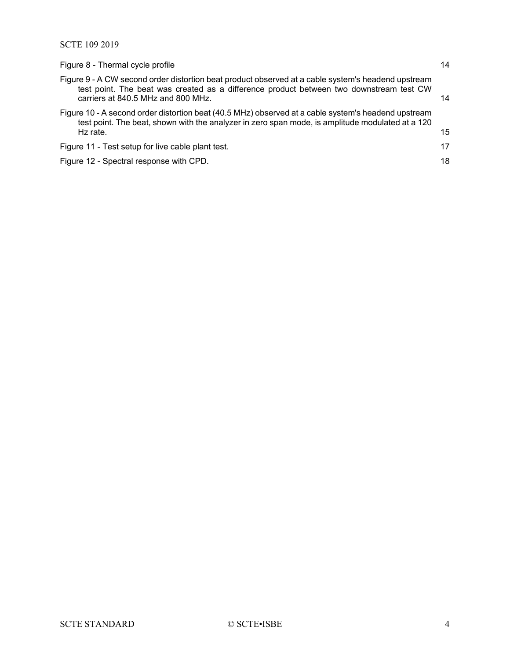| 14 |
|----|
| 14 |
| 15 |
| 17 |
| 18 |
|    |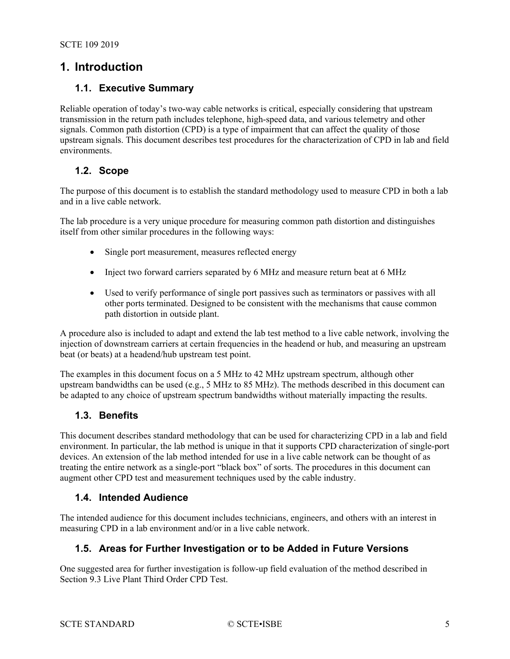# <span id="page-4-1"></span><span id="page-4-0"></span>**1. Introduction**

#### **1.1. Executive Summary**

Reliable operation of today's two-way cable networks is critical, especially considering that upstream transmission in the return path includes telephone, high-speed data, and various telemetry and other signals. Common path distortion (CPD) is a type of impairment that can affect the quality of those upstream signals. This document describes test procedures for the characterization of CPD in lab and field environments.

#### <span id="page-4-2"></span>**1.2. Scope**

The purpose of this document is to establish the standard methodology used to measure CPD in both a lab and in a live cable network.

The lab procedure is a very unique procedure for measuring common path distortion and distinguishes itself from other similar procedures in the following ways:

- Single port measurement, measures reflected energy
- Inject two forward carriers separated by 6 MHz and measure return beat at 6 MHz
- Used to verify performance of single port passives such as terminators or passives with all other ports terminated. Designed to be consistent with the mechanisms that cause common path distortion in outside plant.

A procedure also is included to adapt and extend the lab test method to a live cable network, involving the injection of downstream carriers at certain frequencies in the headend or hub, and measuring an upstream beat (or beats) at a headend/hub upstream test point.

The examples in this document focus on a 5 MHz to 42 MHz upstream spectrum, although other upstream bandwidths can be used (e.g., 5 MHz to 85 MHz). The methods described in this document can be adapted to any choice of upstream spectrum bandwidths without materially impacting the results.

#### <span id="page-4-3"></span>**1.3. Benefits**

This document describes standard methodology that can be used for characterizing CPD in a lab and field environment. In particular, the lab method is unique in that it supports CPD characterization of single-port devices. An extension of the lab method intended for use in a live cable network can be thought of as treating the entire network as a single-port "black box" of sorts. The procedures in this document can augment other CPD test and measurement techniques used by the cable industry.

#### <span id="page-4-4"></span>**1.4. Intended Audience**

<span id="page-4-5"></span>The intended audience for this document includes technicians, engineers, and others with an interest in measuring CPD in a lab environment and/or in a live cable network.

#### **1.5. Areas for Further Investigation or to be Added in Future Versions**

One suggested area for further investigation is follow-up field evaluation of the method described in Section 9.3 Live Plant Third Order CPD Test.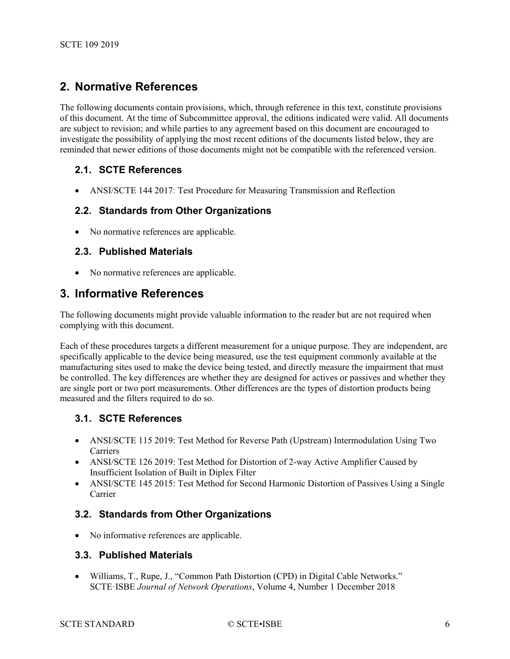# <span id="page-5-0"></span>**2. Normative References**

The following documents contain provisions, which, through reference in this text, constitute provisions of this document. At the time of Subcommittee approval, the editions indicated were valid. All documents are subject to revision; and while parties to any agreement based on this document are encouraged to investigate the possibility of applying the most recent editions of the documents listed below, they are reminded that newer editions of those documents might not be compatible with the referenced version.

#### <span id="page-5-1"></span>**2.1. SCTE References**

<span id="page-5-2"></span>• ANSI/SCTE 144 2017: Test Procedure for Measuring Transmission and Reflection

#### **2.2. Standards from Other Organizations**

<span id="page-5-3"></span>• No normative references are applicable.

#### **2.3. Published Materials**

• No normative references are applicable.

## <span id="page-5-4"></span>**3. Informative References**

The following documents might provide valuable information to the reader but are not required when complying with this document.

Each of these procedures targets a different measurement for a unique purpose. They are independent, are specifically applicable to the device being measured, use the test equipment commonly available at the manufacturing sites used to make the device being tested, and directly measure the impairment that must be controlled. The key differences are whether they are designed for actives or passives and whether they are single port or two port measurements. Other differences are the types of distortion products being measured and the filters required to do so.

#### <span id="page-5-5"></span>**3.1. SCTE References**

- ANSI/SCTE 115 2019: Test Method for Reverse Path (Upstream) Intermodulation Using Two **Carriers**
- ANSI/SCTE 126 2019: Test Method for Distortion of 2-way Active Amplifier Caused by Insufficient Isolation of Built in Diplex Filter
- ANSI/SCTE 145 2015: Test Method for Second Harmonic Distortion of Passives Using a Single Carrier

#### <span id="page-5-6"></span>**3.2. Standards from Other Organizations**

<span id="page-5-7"></span>• No informative references are applicable.

#### **3.3. Published Materials**

• Williams, T., Rupe, J., "Common Path Distortion (CPD) in Digital Cable Networks." SCTE·ISBE *Journal of Network Operations*, Volume 4, Number 1 December 2018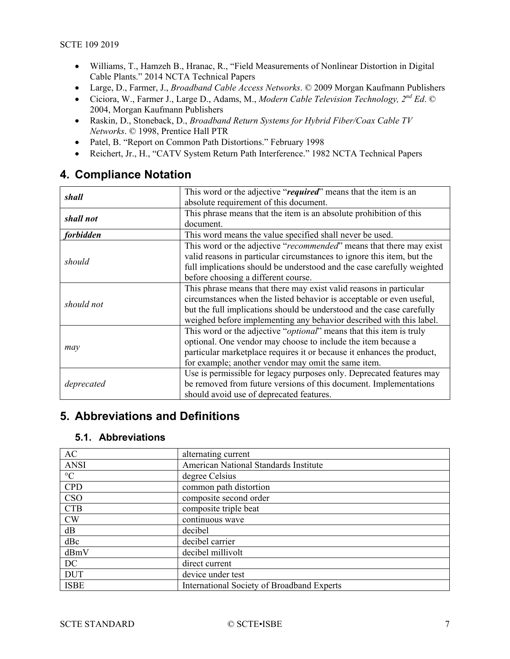- Williams, T., Hamzeh B., Hranac, R., "Field Measurements of Nonlinear Distortion in Digital Cable Plants." 2014 NCTA Technical Papers
- Large, D., Farmer, J., *Broadband Cable Access Networks*. © 2009 Morgan Kaufmann Publishers
- Ciciora, W., Farmer J., Large D., Adams, M., *Modern Cable Television Technology, 2nd Ed*. © 2004, Morgan Kaufmann Publishers
- Raskin, D., Stoneback, D., *Broadband Return Systems for Hybrid Fiber/Coax Cable TV Networks*. © 1998, Prentice Hall PTR
- Patel, B. "Report on Common Path Distortions." February 1998
- Reichert, Jr., H., "CATV System Return Path Interference." 1982 NCTA Technical Papers

# <span id="page-6-0"></span>**4. Compliance Notation**

| shall                                                                 | This word or the adjective "required" means that the item is an              |
|-----------------------------------------------------------------------|------------------------------------------------------------------------------|
|                                                                       | absolute requirement of this document.                                       |
|                                                                       | This phrase means that the item is an absolute prohibition of this           |
| shall not                                                             | document.                                                                    |
| forbidden<br>This word means the value specified shall never be used. |                                                                              |
|                                                                       | This word or the adjective "recommended" means that there may exist          |
| should                                                                | valid reasons in particular circumstances to ignore this item, but the       |
|                                                                       | full implications should be understood and the case carefully weighted       |
|                                                                       | before choosing a different course.                                          |
|                                                                       | This phrase means that there may exist valid reasons in particular           |
| should not                                                            | circumstances when the listed behavior is acceptable or even useful,         |
|                                                                       | but the full implications should be understood and the case carefully        |
|                                                                       | weighed before implementing any behavior described with this label.          |
|                                                                       | This word or the adjective " <i>optional</i> " means that this item is truly |
|                                                                       | optional. One vendor may choose to include the item because a                |
| may                                                                   | particular marketplace requires it or because it enhances the product,       |
|                                                                       | for example; another vendor may omit the same item.                          |
|                                                                       | Use is permissible for legacy purposes only. Deprecated features may         |
| deprecated                                                            | be removed from future versions of this document. Implementations            |
|                                                                       | should avoid use of deprecated features.                                     |

# <span id="page-6-2"></span><span id="page-6-1"></span>**5. Abbreviations and Definitions**

#### **5.1. Abbreviations**

| AC                | alternating current                        |
|-------------------|--------------------------------------------|
| <b>ANSI</b>       | American National Standards Institute      |
| $^{\circ}{\rm C}$ | degree Celsius                             |
| CPD               | common path distortion                     |
| <b>CSO</b>        | composite second order                     |
| <b>CTB</b>        | composite triple beat                      |
| <b>CW</b>         | continuous wave                            |
| dB                | decibel                                    |
| dBc               | decibel carrier                            |
| dBmV              | decibel millivolt                          |
| DC                | direct current                             |
| <b>DUT</b>        | device under test                          |
| <b>ISBE</b>       | International Society of Broadband Experts |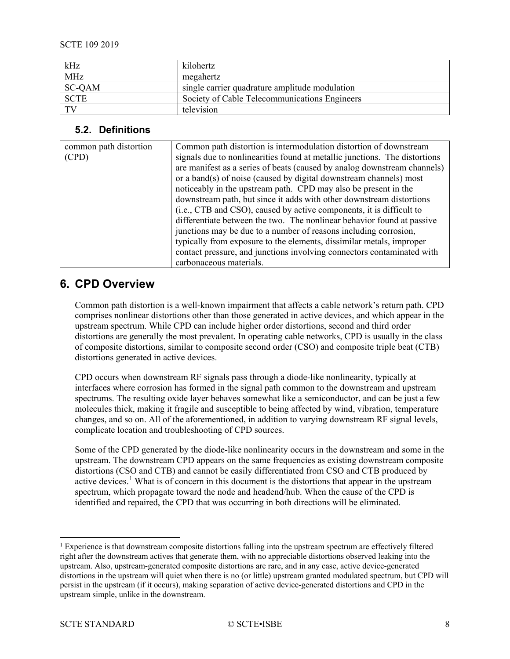| kHz         | kilohertz                                      |
|-------------|------------------------------------------------|
| <b>MHz</b>  | megahertz                                      |
| SC-QAM      | single carrier quadrature amplitude modulation |
| <b>SCTE</b> | Society of Cable Telecommunications Engineers  |
| TV          | television                                     |

#### <span id="page-7-0"></span>**5.2. Definitions**

| common path distortion | Common path distortion is intermodulation distortion of downstream         |
|------------------------|----------------------------------------------------------------------------|
| (CPD)                  | signals due to nonlinearities found at metallic junctions. The distortions |
|                        | are manifest as a series of beats (caused by analog downstream channels)   |
|                        | or a band(s) of noise (caused by digital downstream channels) most         |
|                        | noticeably in the upstream path. CPD may also be present in the            |
|                        | downstream path, but since it adds with other downstream distortions       |
|                        | (i.e., CTB and CSO), caused by active components, it is difficult to       |
|                        | differentiate between the two. The nonlinear behavior found at passive     |
|                        | junctions may be due to a number of reasons including corrosion,           |
|                        | typically from exposure to the elements, dissimilar metals, improper       |
|                        | contact pressure, and junctions involving connectors contaminated with     |
|                        | carbonaceous materials.                                                    |

# <span id="page-7-1"></span>**6. CPD Overview**

Common path distortion is a well-known impairment that affects a cable network's return path. CPD comprises nonlinear distortions other than those generated in active devices, and which appear in the upstream spectrum. While CPD can include higher order distortions, second and third order distortions are generally the most prevalent. In operating cable networks, CPD is usually in the class of composite distortions, similar to composite second order (CSO) and composite triple beat (CTB) distortions generated in active devices.

CPD occurs when downstream RF signals pass through a diode-like nonlinearity, typically at interfaces where corrosion has formed in the signal path common to the downstream and upstream spectrums. The resulting oxide layer behaves somewhat like a semiconductor, and can be just a few molecules thick, making it fragile and susceptible to being affected by wind, vibration, temperature changes, and so on. All of the aforementioned, in addition to varying downstream RF signal levels, complicate location and troubleshooting of CPD sources.

Some of the CPD generated by the diode-like nonlinearity occurs in the downstream and some in the upstream. The downstream CPD appears on the same frequencies as existing downstream composite distortions (CSO and CTB) and cannot be easily differentiated from CSO and CTB produced by active devices.<sup>[1](#page-7-2)</sup> What is of concern in this document is the distortions that appear in the upstream spectrum, which propagate toward the node and headend/hub. When the cause of the CPD is identified and repaired, the CPD that was occurring in both directions will be eliminated.

<span id="page-7-2"></span> $1$  Experience is that downstream composite distortions falling into the upstream spectrum are effectively filtered right after the downstream actives that generate them, with no appreciable distortions observed leaking into the upstream. Also, upstream-generated composite distortions are rare, and in any case, active device-generated distortions in the upstream will quiet when there is no (or little) upstream granted modulated spectrum, but CPD will persist in the upstream (if it occurs), making separation of active device-generated distortions and CPD in the upstream simple, unlike in the downstream.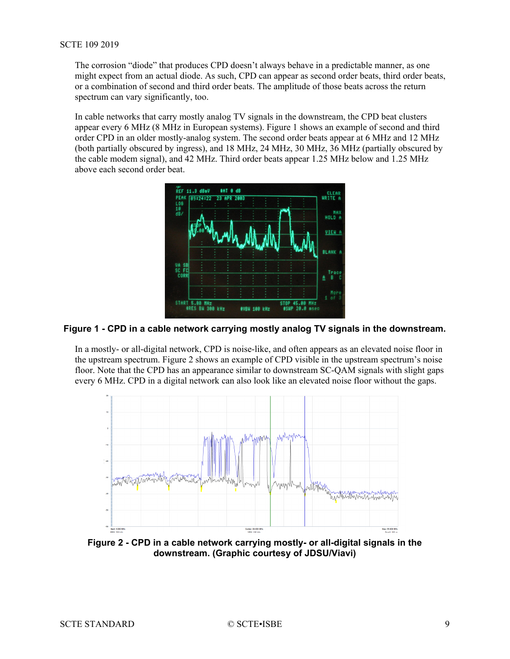The corrosion "diode" that produces CPD doesn't always behave in a predictable manner, as one might expect from an actual diode. As such, CPD can appear as second order beats, third order beats, or a combination of second and third order beats. The amplitude of those beats across the return spectrum can vary significantly, too.

In cable networks that carry mostly analog TV signals in the downstream, the CPD beat clusters appear every 6 MHz (8 MHz in European systems). [Figure 1](#page-8-0) shows an example of second and third order CPD in an older mostly-analog system. The second order beats appear at 6 MHz and 12 MHz (both partially obscured by ingress), and 18 MHz, 24 MHz, 30 MHz, 36 MHz (partially obscured by the cable modem signal), and 42 MHz. Third order beats appear 1.25 MHz below and 1.25 MHz above each second order beat.



#### <span id="page-8-0"></span>**Figure 1 - CPD in a cable network carrying mostly analog TV signals in the downstream.**

In a mostly- or all-digital network, CPD is noise-like, and often appears as an elevated noise floor in the upstream spectrum. [Figure 2](#page-8-1) shows an example of CPD visible in the upstream spectrum's noise floor. Note that the CPD has an appearance similar to downstream SC-QAM signals with slight gaps every 6 MHz. CPD in a digital network can also look like an elevated noise floor without the gaps.



<span id="page-8-1"></span>**Figure 2 - CPD in a cable network carrying mostly- or all-digital signals in the downstream. (Graphic courtesy of JDSU/Viavi)**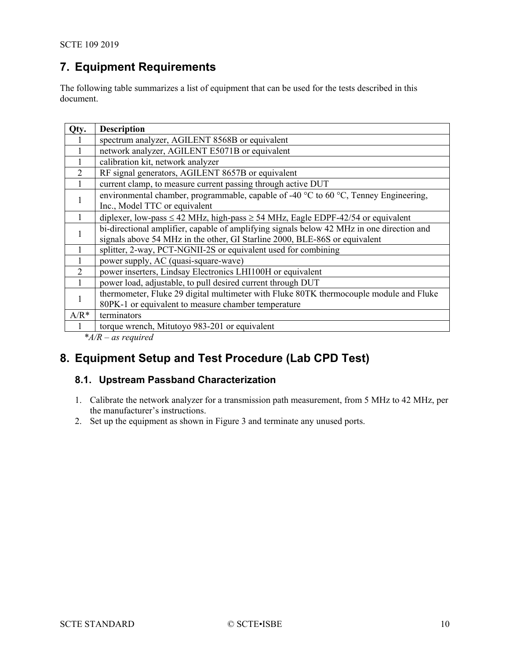# <span id="page-9-0"></span>**7. Equipment Requirements**

The following table summarizes a list of equipment that can be used for the tests described in this document.

| Qty.           | <b>Description</b>                                                                                       |
|----------------|----------------------------------------------------------------------------------------------------------|
|                | spectrum analyzer, AGILENT 8568B or equivalent                                                           |
|                | network analyzer, AGILENT E5071B or equivalent                                                           |
|                | calibration kit, network analyzer                                                                        |
| $\overline{2}$ | RF signal generators, AGILENT 8657B or equivalent                                                        |
|                | current clamp, to measure current passing through active DUT                                             |
|                | environmental chamber, programmable, capable of -40 $^{\circ}$ C to 60 $^{\circ}$ C, Tenney Engineering, |
|                | Inc., Model TTC or equivalent                                                                            |
|                | diplexer, low-pass $\leq$ 42 MHz, high-pass $\geq$ 54 MHz, Eagle EDPF-42/54 or equivalent                |
|                | bi-directional amplifier, capable of amplifying signals below 42 MHz in one direction and                |
|                | signals above 54 MHz in the other, GI Starline 2000, BLE-86S or equivalent                               |
|                | splitter, 2-way, PCT-NGNII-2S or equivalent used for combining                                           |
|                | power supply, AC (quasi-square-wave)                                                                     |
| $\overline{2}$ | power inserters, Lindsay Electronics LHI100H or equivalent                                               |
|                | power load, adjustable, to pull desired current through DUT                                              |
|                | thermometer, Fluke 29 digital multimeter with Fluke 80TK thermocouple module and Fluke                   |
|                | 80PK-1 or equivalent to measure chamber temperature                                                      |
| $A/R^*$        | terminators                                                                                              |
|                | torque wrench, Mitutoyo 983-201 or equivalent                                                            |

*\*A/R – as required*

# <span id="page-9-1"></span>**8. Equipment Setup and Test Procedure (Lab CPD Test)**

#### <span id="page-9-2"></span>**8.1. Upstream Passband Characterization**

- 1. Calibrate the network analyzer for a transmission path measurement, from 5 MHz to 42 MHz, per the manufacturer's instructions.
- 2. Set up the equipment as shown in [Figure 3](#page-10-1) and terminate any unused ports.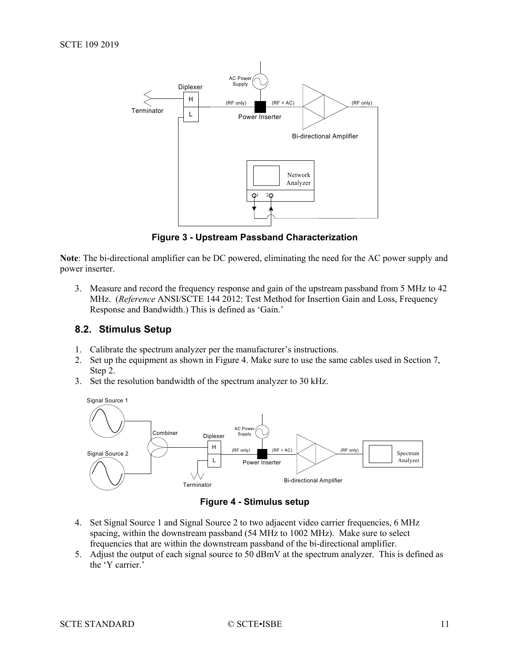

**Figure 3 - Upstream Passband Characterization**

<span id="page-10-1"></span>**Note**: The bi-directional amplifier can be DC powered, eliminating the need for the AC power supply and power inserter.

3. Measure and record the frequency response and gain of the upstream passband from 5 MHz to 42 MHz. (*Reference* ANSI/SCTE 144 2012: Test Method for Insertion Gain and Loss, Frequency Response and Bandwidth.) This is defined as 'Gain.'

#### <span id="page-10-0"></span>**8.2. Stimulus Setup**

- 1. Calibrate the spectrum analyzer per the manufacturer's instructions.
- 2. Set up the equipment as shown in [Figure 4.](#page-10-2) Make sure to use the same cables used in Section 7, Step 2.
- 3. Set the resolution bandwidth of the spectrum analyzer to 30 kHz.



**Figure 4 - Stimulus setup**

- <span id="page-10-2"></span>4. Set Signal Source 1 and Signal Source 2 to two adjacent video carrier frequencies, 6 MHz spacing, within the downstream passband (54 MHz to 1002 MHz). Make sure to select frequencies that are within the downstream passband of the bi-directional amplifier.
- 5. Adjust the output of each signal source to 50 dBmV at the spectrum analyzer. This is defined as the 'Y carrier.'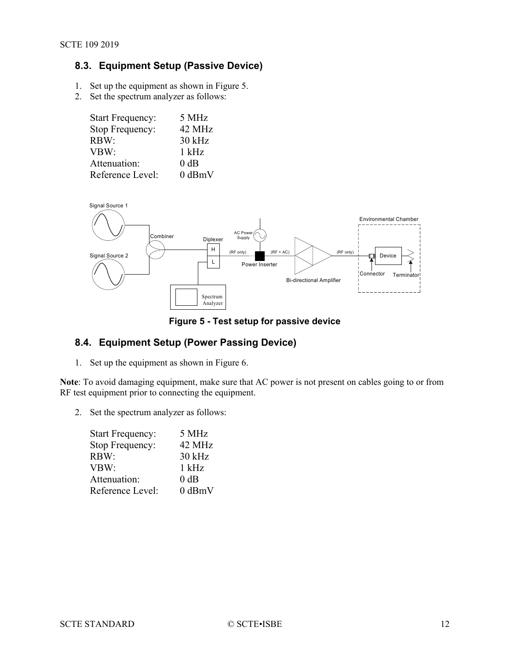# <span id="page-11-0"></span>**8.3. Equipment Setup (Passive Device)**

- 1. Set up the equipment as shown in [Figure 5.](#page-11-2)
- 2. Set the spectrum analyzer as follows:

| <b>Start Frequency:</b> | 5 MHz       |
|-------------------------|-------------|
| Stop Frequency:         | 42 MHz      |
| RBW:                    | 30 kHz      |
| VBW:                    | $1$ kHz     |
| Attenuation:            | $0$ dB      |
| Reference Level:        | $0$ dBm $V$ |



#### **Figure 5 - Test setup for passive device**

### <span id="page-11-2"></span><span id="page-11-1"></span>**8.4. Equipment Setup (Power Passing Device)**

1. Set up the equipment as shown in [Figure 6.](#page-12-1)

**Note**: To avoid damaging equipment, make sure that AC power is not present on cables going to or from RF test equipment prior to connecting the equipment.

2. Set the spectrum analyzer as follows:

| <b>Start Frequency:</b> | 5 MHz       |
|-------------------------|-------------|
| Stop Frequency:         | 42 MHz      |
| RBW:                    | 30 kHz      |
| VBW:                    | $1$ kHz     |
| Attenuation:            | $0$ dB      |
| Reference Level:        | $0$ dBm $V$ |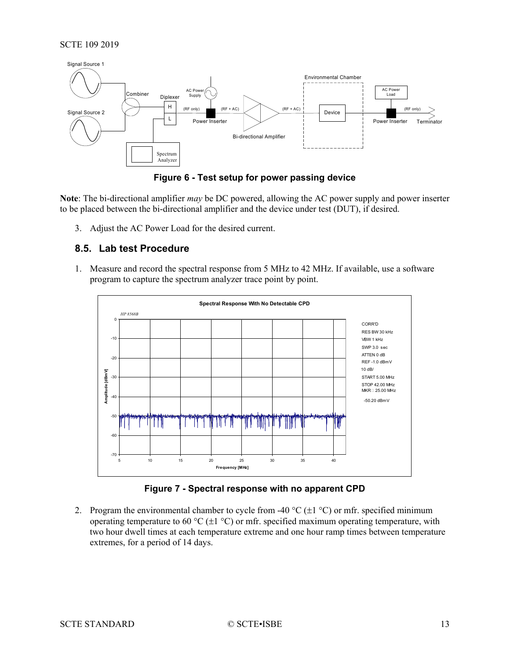



<span id="page-12-1"></span>**Note**: The bi-directional amplifier *may* be DC powered, allowing the AC power supply and power inserter to be placed between the bi-directional amplifier and the device under test (DUT), if desired.

<span id="page-12-0"></span>3. Adjust the AC Power Load for the desired current.

#### **8.5. Lab test Procedure**

1. Measure and record the spectral response from 5 MHz to 42 MHz. If available, use a software program to capture the spectrum analyzer trace point by point.



**Figure 7 - Spectral response with no apparent CPD**

<span id="page-12-2"></span>2. Program the environmental chamber to cycle from -40  $^{\circ}C$  ( $\pm$ 1  $^{\circ}C$ ) or mfr. specified minimum operating temperature to 60 °C ( $\pm$ 1 °C) or mfr. specified maximum operating temperature, with two hour dwell times at each temperature extreme and one hour ramp times between temperature extremes, for a period of 14 days.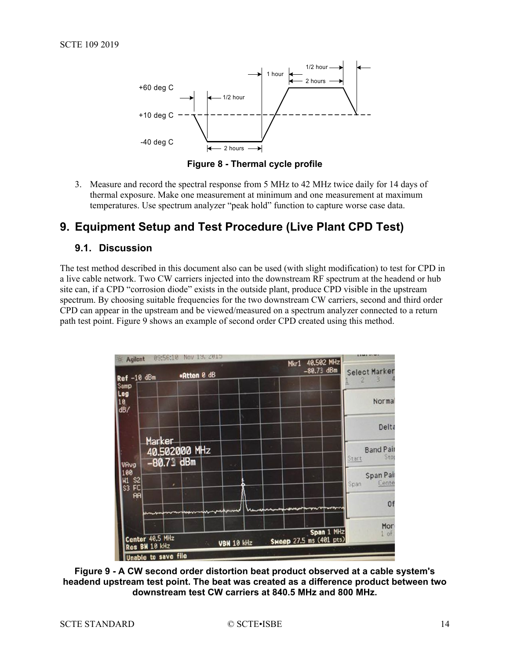

**Figure 8 - Thermal cycle profile**

<span id="page-13-2"></span>3. Measure and record the spectral response from 5 MHz to 42 MHz twice daily for 14 days of thermal exposure. Make one measurement at minimum and one measurement at maximum temperatures. Use spectrum analyzer "peak hold" function to capture worse case data.

# <span id="page-13-1"></span><span id="page-13-0"></span>**9. Equipment Setup and Test Procedure (Live Plant CPD Test)**

#### **9.1. Discussion**

The test method described in this document also can be used (with slight modification) to test for CPD in a live cable network. Two CW carriers injected into the downstream RF spectrum at the headend or hub site can, if a CPD "corrosion diode" exists in the outside plant, produce CPD visible in the upstream spectrum. By choosing suitable frequencies for the two downstream CW carriers, second and third order CPD can appear in the upstream and be viewed/measured on a spectrum analyzer connected to a return path test point. [Figure 9](#page-13-3) shows an example of second order CPD created using this method.



<span id="page-13-3"></span>**Figure 9 - A CW second order distortion beat product observed at a cable system's headend upstream test point. The beat was created as a difference product between two downstream test CW carriers at 840.5 MHz and 800 MHz.**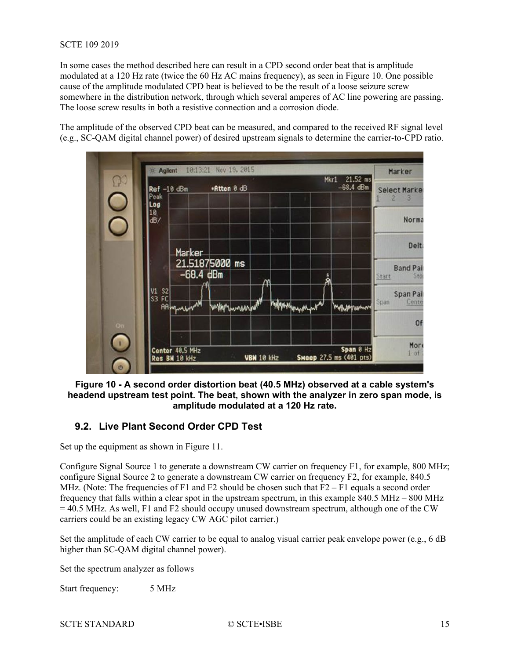#### SCTE 109 2019

In some cases the method described here can result in a CPD second order beat that is amplitude modulated at a 120 Hz rate (twice the 60 Hz AC mains frequency), as seen in [Figure 10.](#page-14-1) One possible cause of the amplitude modulated CPD beat is believed to be the result of a loose seizure screw somewhere in the distribution network, through which several amperes of AC line powering are passing. The loose screw results in both a resistive connection and a corrosion diode.

The amplitude of the observed CPD beat can be measured, and compared to the received RF signal level (e.g., SC-QAM digital channel power) of desired upstream signals to determine the carrier-to-CPD ratio.



<span id="page-14-1"></span>**Figure 10 - A second order distortion beat (40.5 MHz) observed at a cable system's headend upstream test point. The beat, shown with the analyzer in zero span mode, is amplitude modulated at a 120 Hz rate.**

#### <span id="page-14-0"></span>**9.2. Live Plant Second Order CPD Test**

Set up the equipment as shown in [Figure 11.](#page-16-1)

Configure Signal Source 1 to generate a downstream CW carrier on frequency F1, for example, 800 MHz; configure Signal Source 2 to generate a downstream CW carrier on frequency F2, for example, 840.5 MHz. (Note: The frequencies of F1 and F2 should be chosen such that  $F2 - F1$  equals a second order frequency that falls within a clear spot in the upstream spectrum, in this example 840.5 MHz – 800 MHz  $= 40.5$  MHz. As well, F1 and F2 should occupy unused downstream spectrum, although one of the CW carriers could be an existing legacy CW AGC pilot carrier.)

Set the amplitude of each CW carrier to be equal to analog visual carrier peak envelope power (e.g., 6 dB higher than SC-QAM digital channel power).

Set the spectrum analyzer as follows

Start frequency: 5 MHz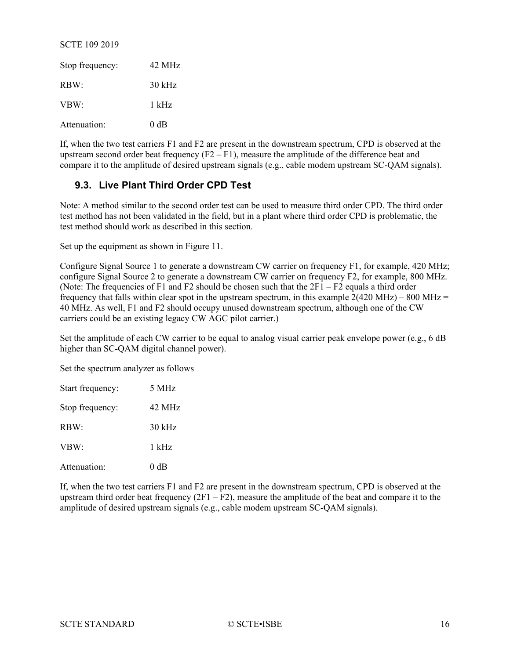#### SCTE 109 2019

| Stop frequency: | 42 MHz   |
|-----------------|----------|
| RBW:            | $30$ kHz |
| VBW:            | 1 kHz    |
| Attenuation:    | $0$ dB   |

If, when the two test carriers F1 and F2 are present in the downstream spectrum, CPD is observed at the upstream second order beat frequency  $(F2 - F1)$ , measure the amplitude of the difference beat and compare it to the amplitude of desired upstream signals (e.g., cable modem upstream SC-QAM signals).

## <span id="page-15-0"></span>**9.3. Live Plant Third Order CPD Test**

Note: A method similar to the second order test can be used to measure third order CPD. The third order test method has not been validated in the field, but in a plant where third order CPD is problematic, the test method should work as described in this section.

Set up the equipment as shown in [Figure 11.](#page-16-1)

Configure Signal Source 1 to generate a downstream CW carrier on frequency F1, for example, 420 MHz; configure Signal Source 2 to generate a downstream CW carrier on frequency F2, for example, 800 MHz. (Note: The frequencies of F1 and F2 should be chosen such that the  $2F1 - F2$  equals a third order frequency that falls within clear spot in the upstream spectrum, in this example  $2(420 \text{ MHz}) - 800 \text{ MHz} =$ 40 MHz. As well, F1 and F2 should occupy unused downstream spectrum, although one of the CW carriers could be an existing legacy CW AGC pilot carrier.)

Set the amplitude of each CW carrier to be equal to analog visual carrier peak envelope power (e.g., 6 dB higher than SC-QAM digital channel power).

Set the spectrum analyzer as follows

| Start frequency: | 5 MHz    |
|------------------|----------|
| Stop frequency:  | 42 MHz   |
| RBW:             | $30$ kHz |
| VBW:             | $1$ kHz  |
| Attenuation:     | 0 dB     |

If, when the two test carriers F1 and F2 are present in the downstream spectrum, CPD is observed at the upstream third order beat frequency  $(2F1 - F2)$ , measure the amplitude of the beat and compare it to the amplitude of desired upstream signals (e.g., cable modem upstream SC-QAM signals).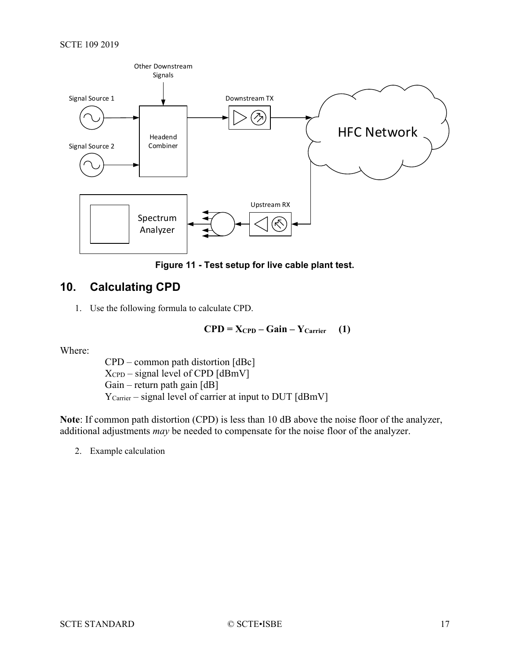

**Figure 11 - Test setup for live cable plant test.**

# <span id="page-16-1"></span><span id="page-16-0"></span>**10. Calculating CPD**

1. Use the following formula to calculate CPD.

$$
CPD = X_{CPD} - Gain - Y_{Carrier} \quad (1)
$$

Where:

CPD – common path distortion [dBc]  $X_{\text{CPD}}$  – signal level of CPD [dBmV] Gain – return path gain  $[dB]$ Y<sub>Carrier</sub> – signal level of carrier at input to DUT [dBmV]

**Note**: If common path distortion (CPD) is less than 10 dB above the noise floor of the analyzer, additional adjustments *may* be needed to compensate for the noise floor of the analyzer.

2. Example calculation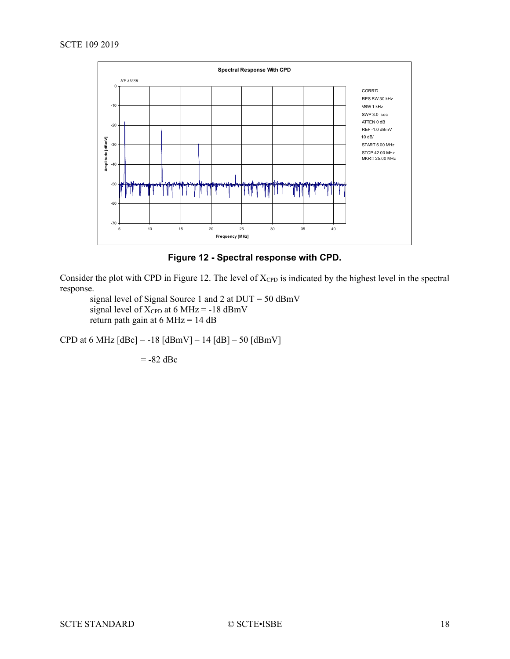

**Figure 12 - Spectral response with CPD.**

<span id="page-17-0"></span>Consider the plot with CPD in [Figure 12.](#page-17-0) The level of  $X_{\rm CPD}$  is indicated by the highest level in the spectral response.

signal level of Signal Source 1 and 2 at DUT = 50 dBmV signal level of  $X_{\text{CPD}}$  at 6 MHz = -18 dBmV return path gain at  $6 \text{ MHz} = 14 \text{ dB}$ 

CPD at 6 MHz  $[dBc] = -18 [dBmV] - 14 [dB] - 50 [dBmV]$ 

 $= -82$  dBc